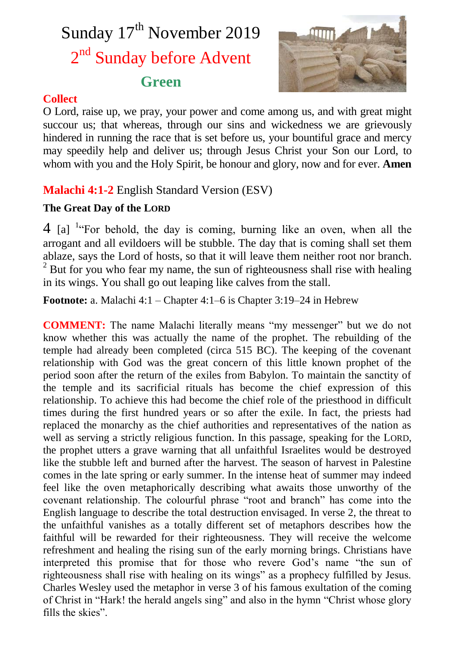# Sunday 17<sup>th</sup> November 2019 2<sup>nd</sup> Sunday before Advent **Green**



## **Collect**

O Lord, raise up, we pray, your power and come among us, and with great might succour us; that whereas, through our sins and wickedness we are grievously hindered in running the race that is set before us, your bountiful grace and mercy may speedily help and deliver us; through Jesus Christ your Son our Lord, to whom with you and the Holy Spirit, be honour and glory, now and for ever. **Amen**

## **Malachi 4:1-2** English Standard Version (ESV)

## **The Great Day of the LORD**

 $4$  [a] <sup>1</sup><sup>c</sup>For behold, the day is coming, burning like an oven, when all the arrogant and all evildoers will be stubble. The day that is coming shall set them ablaze, says the Lord of hosts, so that it will leave them neither root nor branch.  $2^2$  But for you who fear my name, the sun of righteousness shall rise with healing in its wings. You shall go out leaping like calves from the stall.

**Footnote:** a. Malachi 4:1 – Chapter 4:1–6 is Chapter 3:19–24 in Hebrew

**COMMENT:** The name Malachi literally means "my messenger" but we do not know whether this was actually the name of the prophet. The rebuilding of the temple had already been completed (circa 515 BC). The keeping of the covenant relationship with God was the great concern of this little known prophet of the period soon after the return of the exiles from Babylon. To maintain the sanctity of the temple and its sacrificial rituals has become the chief expression of this relationship. To achieve this had become the chief role of the priesthood in difficult times during the first hundred years or so after the exile. In fact, the priests had replaced the monarchy as the chief authorities and representatives of the nation as well as serving a strictly religious function. In this passage, speaking for the LORD, the prophet utters a grave warning that all unfaithful Israelites would be destroyed like the stubble left and burned after the harvest. The season of harvest in Palestine comes in the late spring or early summer. In the intense heat of summer may indeed feel like the oven metaphorically describing what awaits those unworthy of the covenant relationship. The colourful phrase "root and branch" has come into the English language to describe the total destruction envisaged. In verse 2, the threat to the unfaithful vanishes as a totally different set of metaphors describes how the faithful will be rewarded for their righteousness. They will receive the welcome refreshment and healing the rising sun of the early morning brings. Christians have interpreted this promise that for those who revere God's name "the sun of righteousness shall rise with healing on its wings" as a prophecy fulfilled by Jesus. Charles Wesley used the metaphor in verse 3 of his famous exultation of the coming of Christ in "Hark! the herald angels sing" and also in the hymn "Christ whose glory fills the skies".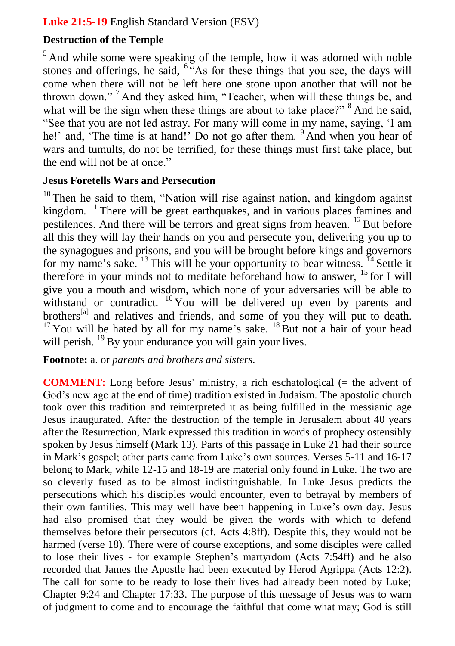## **Luke 21:5-19** English Standard Version (ESV)

## **Destruction of the Temple**

 $<sup>5</sup>$  And while some were speaking of the temple, how it was adorned with noble</sup> stones and offerings, he said,  $6.48$  for these things that you see, the days will come when there will not be left here one stone upon another that will not be thrown down." <sup>7</sup> And they asked him, "Teacher, when will these things be, and what will be the sign when these things are about to take place?" <sup>8</sup> And he said, "See that you are not led astray. For many will come in my name, saying, 'I am he!' and, 'The time is at hand!' Do not go after them. <sup>9</sup> And when you hear of wars and tumults, do not be terrified, for these things must first take place, but the end will not be at once."

## **Jesus Foretells Wars and Persecution**

 $10$  Then he said to them, "Nation will rise against nation, and kingdom against kingdom. <sup>11</sup> There will be great earthquakes, and in various places famines and pestilences. And there will be terrors and great signs from heaven. <sup>12</sup> But before all this they will lay their hands on you and persecute you, delivering you up to the synagogues and prisons, and you will be brought before kings and governors for my name's sake.  $^{13}$  This will be your opportunity to bear witness.  $^{14}$  Settle it therefore in your minds not to meditate beforehand how to answer, <sup>15</sup> for I will give you a mouth and wisdom, which none of your adversaries will be able to withstand or contradict. <sup>16</sup> You will be delivered up even by parents and brothers<sup>[a]</sup> and relatives and friends, and some of you they will put to death.  $17$  You will be hated by all for my name's sake.  $18$  But not a hair of your head will perish. <sup>19</sup> By your endurance you will gain your lives.

**Footnote:** a. or *parents and brothers and sisters*.

**COMMENT:** Long before Jesus' ministry, a rich eschatological (= the advent of God's new age at the end of time) tradition existed in Judaism. The apostolic church took over this tradition and reinterpreted it as being fulfilled in the messianic age Jesus inaugurated. After the destruction of the temple in Jerusalem about 40 years after the Resurrection, Mark expressed this tradition in words of prophecy ostensibly spoken by Jesus himself (Mark 13). Parts of this passage in Luke 21 had their source in Mark's gospel; other parts came from Luke's own sources. Verses 5-11 and 16-17 belong to Mark, while 12-15 and 18-19 are material only found in Luke. The two are so cleverly fused as to be almost indistinguishable. In Luke Jesus predicts the persecutions which his disciples would encounter, even to betrayal by members of their own families. This may well have been happening in Luke's own day. Jesus had also promised that they would be given the words with which to defend themselves before their persecutors (cf. Acts 4:8ff). Despite this, they would not be harmed (verse 18). There were of course exceptions, and some disciples were called to lose their lives - for example Stephen's martyrdom (Acts 7:54ff) and he also recorded that James the Apostle had been executed by Herod Agrippa (Acts 12:2). The call for some to be ready to lose their lives had already been noted by Luke; Chapter 9:24 and Chapter 17:33. The purpose of this message of Jesus was to warn of judgment to come and to encourage the faithful that come what may; God is still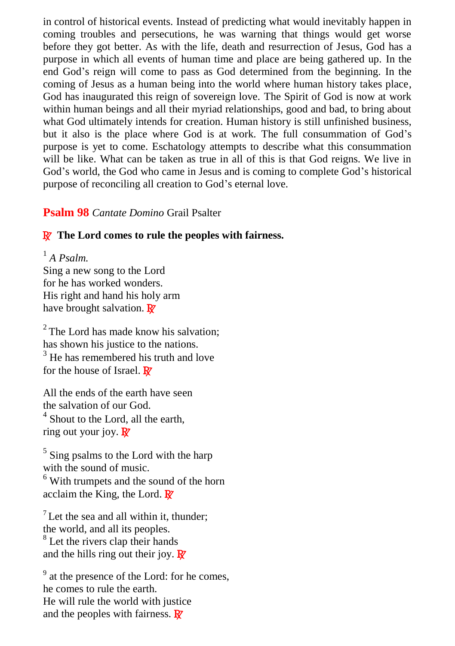in control of historical events. Instead of predicting what would inevitably happen in coming troubles and persecutions, he was warning that things would get worse before they got better. As with the life, death and resurrection of Jesus, God has a purpose in which all events of human time and place are being gathered up. In the end God's reign will come to pass as God determined from the beginning. In the coming of Jesus as a human being into the world where human history takes place, God has inaugurated this reign of sovereign love. The Spirit of God is now at work within human beings and all their myriad relationships, good and bad, to bring about what God ultimately intends for creation. Human history is still unfinished business, but it also is the place where God is at work. The full consummation of God's purpose is yet to come. Eschatology attempts to describe what this consummation will be like. What can be taken as true in all of this is that God reigns. We live in God's world, the God who came in Jesus and is coming to complete God's historical purpose of reconciling all creation to God's eternal love.

#### **Psalm 98** *Cantate Domino* Grail Psalter

#### R **The Lord comes to rule the peoples with fairness.**

1 *A Psalm.* Sing a new song to the Lord for he has worked wonders. His right and hand his holy arm have brought salvation.  $\mathbf{R}^{\prime}$ 

 $2^2$  The Lord has made know his salvation: has shown his justice to the nations.  $3$  He has remembered his truth and love for the house of Israel.  $\mathbb{R}^r$ 

All the ends of the earth have seen the salvation of our God. <sup>4</sup> Shout to the Lord, all the earth, ring out your joy.  $\mathbb{R}^7$ 

<sup>5</sup> Sing psalms to the Lord with the harp with the sound of music. <sup>6</sup> With trumpets and the sound of the horn acclaim the King, the Lord.  $\mathbb{R}^7$ 

 $<sup>7</sup>$  Let the sea and all within it, thunder:</sup> the world, and all its peoples. <sup>8</sup> Let the rivers clap their hands and the hills ring out their joy.  $\mathbb{R}^7$ 

<sup>9</sup> at the presence of the Lord: for he comes, he comes to rule the earth. He will rule the world with justice and the peoples with fairness.  $\mathbf{R}^{\prime}$